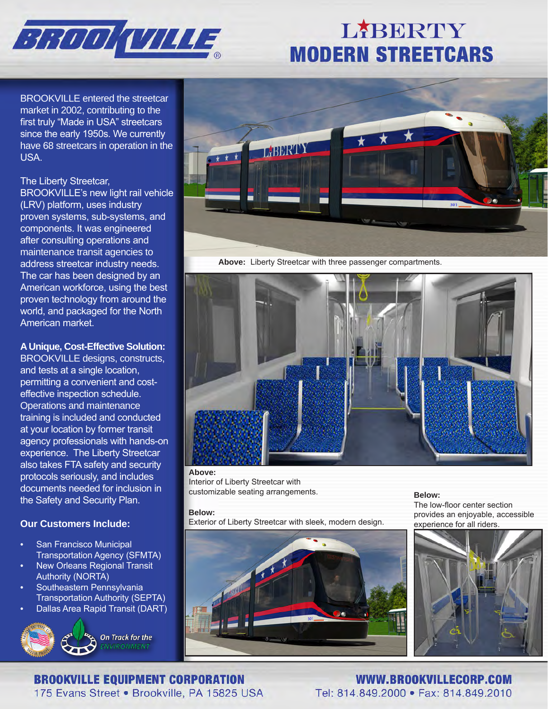

# LABERTY **MODERN STREETCARS**

BROOKVILLE entered the streetcar market in 2002, contributing to the first truly "Made in USA" streetcars since the early 1950s. We currently have 68 streetcars in operation in the USA.

### The Liberty Streetcar,

BROOKVILLE's new light rail vehicle (LRV) platform, uses industry proven systems, sub-systems, and components. It was engineered after consulting operations and maintenance transit agencies to address streetcar industry needs. The car has been designed by an American workforce, using the best proven technology from around the world, and packaged for the North American market.

## **A Unique, Cost-Effective Solution:**

BROOKVILLE designs, constructs, and tests at a single location, permitting a convenient and costeffective inspection schedule. Operations and maintenance training is included and conducted at your location by former transit agency professionals with hands-on experience. The Liberty Streetcar also takes FTA safety and security protocols seriously, and includes documents needed for inclusion in the Safety and Security Plan.

## **Our Customers Include:**

- San Francisco Municipal Transportation Agency (SFMTA)
- New Orleans Regional Transit Authority (NORTA)
- Southeastern Pennsylvania Transportation Authority (SEPTA)
- Dallas Area Rapid Transit (DART)





**Above:** Liberty Streetcar with three passenger compartments.



### **Above:**

Interior of Liberty Streetcar with customizable seating arrangements. **Below:**

### **Below:**

Exterior of Liberty Streetcar with sleek, modern design.

The low-floor center section provides an enjoyable, accessible experience for all riders.



## **BROOKVILLE EQUIPMENT CORPORATION**

175 Evans Street . Brookville, PA 15825 USA

WWW.BROOKVILLECORP.COM Tel: 814.849.2000 · Fax: 814.849.2010